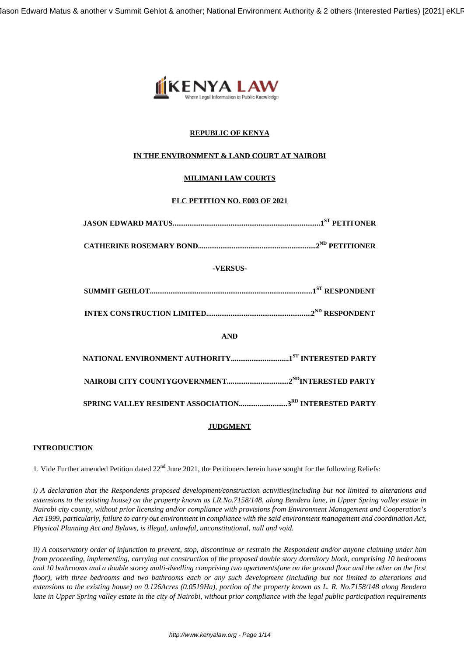Jason Edward Matus & another v Summit Gehlot & another; National Environment Authority & 2 others (Interested Parties) [2021] eKLF



# **REPUBLIC OF KENYA**

# **IN THE ENVIRONMENT & LAND COURT AT NAIROBI**

# **MILIMANI LAW COURTS**

# **ELC PETITION NO. E003 OF 2021**

| -VERSUS-   |
|------------|
|            |
|            |
| <b>AND</b> |
|            |
|            |
|            |

# **JUDGMENT**

# **INTRODUCTION**

1. Vide Further amended Petition dated  $22<sup>nd</sup>$  June 2021, the Petitioners herein have sought for the following Reliefs:

*i) A declaration that the Respondents proposed development/construction activities(including but not limited to alterations and extensions to the existing house) on the property known as LR.No.7158/148, along Bendera lane, in Upper Spring valley estate in Nairobi city county, without prior licensing and/or compliance with provisions from Environment Management and Cooperation's Act 1999, particularly, failure to carry out environment in compliance with the said environment management and coordination Act, Physical Planning Act and Bylaws, is illegal, unlawful, unconstitutional, null and void.*

*ii) A conservatory order of injunction to prevent, stop, discontinue or restrain the Respondent and/or anyone claiming under him from proceeding, implementing, carrying out construction of the proposed double story dormitory block, comprising 10 bedrooms and 10 bathrooms and a double storey multi-dwelling comprising two apartments(one on the ground floor and the other on the first floor), with three bedrooms and two bathrooms each or any such development (including but not limited to alterations and extensions to the existing house) on 0.126Acres (0.0519Ha), portion of the property known as L. R. No.7158/148 along Bendera lane in Upper Spring valley estate in the city of Nairobi, without prior compliance with the legal public participation requirements*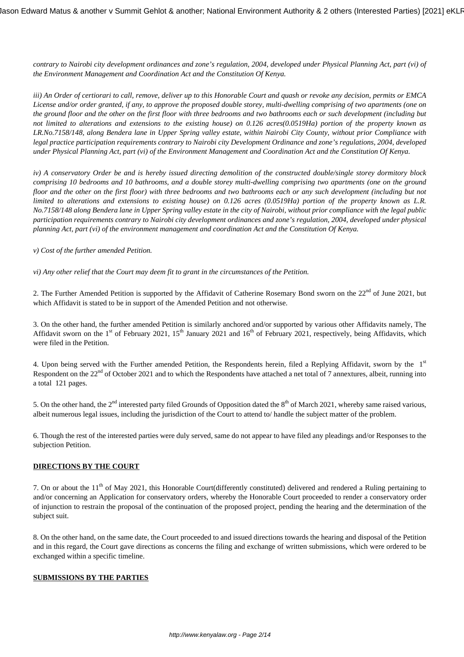*contrary to Nairobi city development ordinances and zone's regulation, 2004, developed under Physical Planning Act, part (vi) of the Environment Management and Coordination Act and the Constitution Of Kenya.*

*iii) An Order of certiorari to call, remove, deliver up to this Honorable Court and quash or revoke any decision, permits or EMCA License and/or order granted, if any, to approve the proposed double storey, multi-dwelling comprising of two apartments (one on the ground floor and the other on the first floor with three bedrooms and two bathrooms each or such development (including but not limited to alterations and extensions to the existing house) on 0.126 acres(0.0519Ha) portion of the property known as LR.No.7158/148, along Bendera lane in Upper Spring valley estate, within Nairobi City County, without prior Compliance with legal practice participation requirements contrary to Nairobi city Development Ordinance and zone's regulations, 2004, developed under Physical Planning Act, part (vi) of the Environment Management and Coordination Act and the Constitution Of Kenya.*

*iv) A conservatory Order be and is hereby issued directing demolition of the constructed double/single storey dormitory block comprising 10 bedrooms and 10 bathrooms, and a double storey multi-dwelling comprising two apartments (one on the ground floor and the other on the first floor) with three bedrooms and two bathrooms each or any such development (including but not limited to alterations and extensions to existing house) on 0.126 acres (0.0519Ha) portion of the property known as L.R. No.7158/148 along Bendera lane in Upper Spring valley estate in the city of Nairobi, without prior compliance with the legal public participation requirements contrary to Nairobi city development ordinances and zone's regulation, 2004, developed under physical planning Act, part (vi) of the environment management and coordination Act and the Constitution Of Kenya.*

#### *v) Cost of the further amended Petition.*

*vi) Any other relief that the Court may deem fit to grant in the circumstances of the Petition.*

2. The Further Amended Petition is supported by the Affidavit of Catherine Rosemary Bond sworn on the 22<sup>nd</sup> of June 2021, but which Affidavit is stated to be in support of the Amended Petition and not otherwise.

3. On the other hand, the further amended Petition is similarly anchored and/or supported by various other Affidavits namely, The Affidavit sworn on the  $1<sup>st</sup>$  of February 2021,  $15<sup>th</sup>$  January 2021 and  $16<sup>th</sup>$  of February 2021, respectively, being Affidavits, which were filed in the Petition.

4. Upon being served with the Further amended Petition, the Respondents herein, filed a Replying Affidavit, sworn by the 1st Respondent on the 22<sup>nd</sup> of October 2021 and to which the Respondents have attached a net total of 7 annextures, albeit, running into a total 121 pages.

5. On the other hand, the  $2^{nd}$  interested party filed Grounds of Opposition dated the  $8^{th}$  of March 2021, whereby same raised various, albeit numerous legal issues, including the jurisdiction of the Court to attend to/ handle the subject matter of the problem.

6. Though the rest of the interested parties were duly served, same do not appear to have filed any pleadings and/or Responses to the subjection Petition.

### **DIRECTIONS BY THE COURT**

7. On or about the  $11<sup>th</sup>$  of May 2021, this Honorable Court(differently constituted) delivered and rendered a Ruling pertaining to and/or concerning an Application for conservatory orders, whereby the Honorable Court proceeded to render a conservatory order of injunction to restrain the proposal of the continuation of the proposed project, pending the hearing and the determination of the subject suit.

8. On the other hand, on the same date, the Court proceeded to and issued directions towards the hearing and disposal of the Petition and in this regard, the Court gave directions as concerns the filing and exchange of written submissions, which were ordered to be exchanged within a specific timeline.

#### **SUBMISSIONS BY THE PARTIES**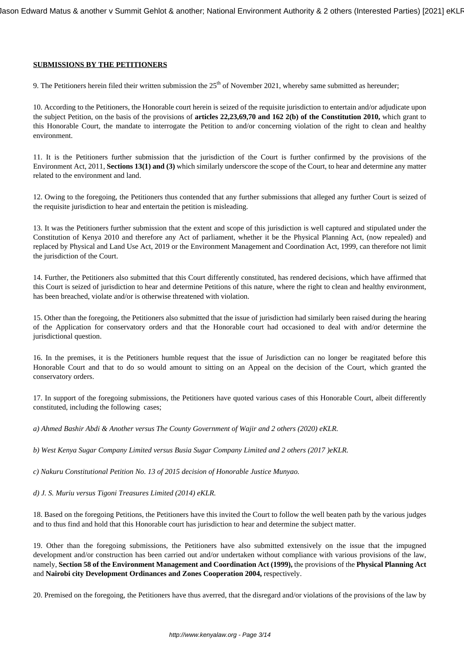### **SUBMISSIONS BY THE PETITIONERS**

9. The Petitioners herein filed their written submission the  $25<sup>th</sup>$  of November 2021, whereby same submitted as hereunder;

10. According to the Petitioners, the Honorable court herein is seized of the requisite jurisdiction to entertain and/or adjudicate upon the subject Petition, on the basis of the provisions of **articles 22,23,69,70 and 162 2(b) of the Constitution 2010,** which grant to this Honorable Court, the mandate to interrogate the Petition to and/or concerning violation of the right to clean and healthy environment.

11. It is the Petitioners further submission that the jurisdiction of the Court is further confirmed by the provisions of the Environment Act, 2011, **Sections 13(1) and (3)** which similarly underscore the scope of the Court, to hear and determine any matter related to the environment and land.

12. Owing to the foregoing, the Petitioners thus contended that any further submissions that alleged any further Court is seized of the requisite jurisdiction to hear and entertain the petition is misleading.

13. It was the Petitioners further submission that the extent and scope of this jurisdiction is well captured and stipulated under the Constitution of Kenya 2010 and therefore any Act of parliament, whether it be the Physical Planning Act, (now repealed) and replaced by Physical and Land Use Act, 2019 or the Environment Management and Coordination Act, 1999, can therefore not limit the jurisdiction of the Court.

14. Further, the Petitioners also submitted that this Court differently constituted, has rendered decisions, which have affirmed that this Court is seized of jurisdiction to hear and determine Petitions of this nature, where the right to clean and healthy environment, has been breached, violate and/or is otherwise threatened with violation.

15. Other than the foregoing, the Petitioners also submitted that the issue of jurisdiction had similarly been raised during the hearing of the Application for conservatory orders and that the Honorable court had occasioned to deal with and/or determine the jurisdictional question.

16. In the premises, it is the Petitioners humble request that the issue of Jurisdiction can no longer be reagitated before this Honorable Court and that to do so would amount to sitting on an Appeal on the decision of the Court, which granted the conservatory orders.

17. In support of the foregoing submissions, the Petitioners have quoted various cases of this Honorable Court, albeit differently constituted, including the following cases;

*a) Ahmed Bashir Abdi & Another versus The County Government of Wajir and 2 others (2020) eKLR.*

*b) West Kenya Sugar Company Limited versus Busia Sugar Company Limited and 2 others (2017 )eKLR.*

*c) Nakuru Constitutional Petition No. 13 of 2015 decision of Honorable Justice Munyao.*

*d) J. S. Muriu versus Tigoni Treasures Limited (2014) eKLR.*

18. Based on the foregoing Petitions, the Petitioners have this invited the Court to follow the well beaten path by the various judges and to thus find and hold that this Honorable court has jurisdiction to hear and determine the subject matter.

19. Other than the foregoing submissions, the Petitioners have also submitted extensively on the issue that the impugned development and/or construction has been carried out and/or undertaken without compliance with various provisions of the law, namely, **Section 58 of the Environment Management and Coordination Act (1999),** the provisions of the **Physical Planning Act** and **Nairobi city Development Ordinances and Zones Cooperation 2004,** respectively.

20. Premised on the foregoing, the Petitioners have thus averred, that the disregard and/or violations of the provisions of the law by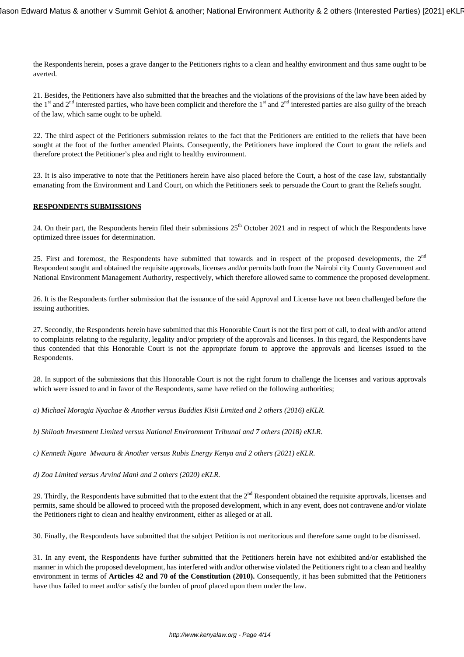the Respondents herein, poses a grave danger to the Petitioners rights to a clean and healthy environment and thus same ought to be averted.

21. Besides, the Petitioners have also submitted that the breaches and the violations of the provisions of the law have been aided by the  $1<sup>st</sup>$  and  $2<sup>nd</sup>$  interested parties, who have been complicit and therefore the  $1<sup>st</sup>$  and  $2<sup>nd</sup>$  interested parties are also guilty of the breach of the law, which same ought to be upheld.

22. The third aspect of the Petitioners submission relates to the fact that the Petitioners are entitled to the reliefs that have been sought at the foot of the further amended Plaints. Consequently, the Petitioners have implored the Court to grant the reliefs and therefore protect the Petitioner's plea and right to healthy environment.

23. It is also imperative to note that the Petitioners herein have also placed before the Court, a host of the case law, substantially emanating from the Environment and Land Court, on which the Petitioners seek to persuade the Court to grant the Reliefs sought.

### **RESPONDENTS SUBMISSIONS**

24. On their part, the Respondents herein filed their submissions  $25^{th}$  October 2021 and in respect of which the Respondents have optimized three issues for determination.

25. First and foremost, the Respondents have submitted that towards and in respect of the proposed developments, the  $2<sup>nd</sup>$ Respondent sought and obtained the requisite approvals, licenses and/or permits both from the Nairobi city County Government and National Environment Management Authority, respectively, which therefore allowed same to commence the proposed development.

26. It is the Respondents further submission that the issuance of the said Approval and License have not been challenged before the issuing authorities.

27. Secondly, the Respondents herein have submitted that this Honorable Court is not the first port of call, to deal with and/or attend to complaints relating to the regularity, legality and/or propriety of the approvals and licenses. In this regard, the Respondents have thus contended that this Honorable Court is not the appropriate forum to approve the approvals and licenses issued to the Respondents.

28. In support of the submissions that this Honorable Court is not the right forum to challenge the licenses and various approvals which were issued to and in favor of the Respondents, same have relied on the following authorities;

*a) Michael Moragia Nyachae & Another versus Buddies Kisii Limited and 2 others (2016) eKLR.*

*b) Shiloah Investment Limited versus National Environment Tribunal and 7 others (2018) eKLR.*

*c) Kenneth Ngure Mwaura & Another versus Rubis Energy Kenya and 2 others (2021) eKLR.*

*d) Zoa Limited versus Arvind Mani and 2 others (2020) eKLR.*

29. Thirdly, the Respondents have submitted that to the extent that the  $2<sup>nd</sup>$  Respondent obtained the requisite approvals, licenses and permits, same should be allowed to proceed with the proposed development, which in any event, does not contravene and/or violate the Petitioners right to clean and healthy environment, either as alleged or at all.

30. Finally, the Respondents have submitted that the subject Petition is not meritorious and therefore same ought to be dismissed.

31. In any event, the Respondents have further submitted that the Petitioners herein have not exhibited and/or established the manner in which the proposed development, has interfered with and/or otherwise violated the Petitioners right to a clean and healthy environment in terms of **Articles 42 and 70 of the Constitution (2010).** Consequently, it has been submitted that the Petitioners have thus failed to meet and/or satisfy the burden of proof placed upon them under the law.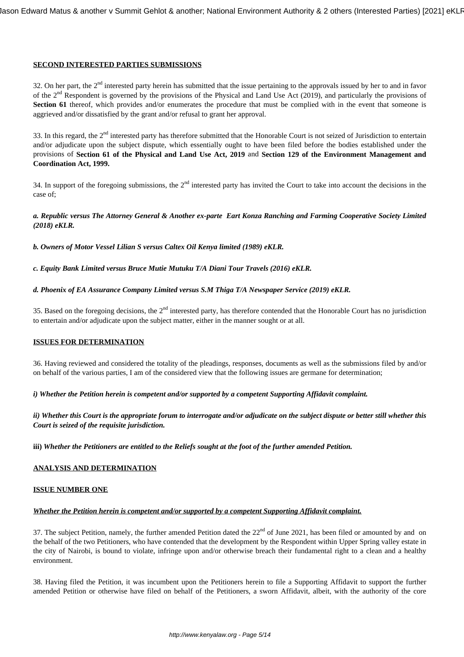## **SECOND INTERESTED PARTIES SUBMISSIONS**

32. On her part, the 2<sup>nd</sup> interested party herein has submitted that the issue pertaining to the approvals issued by her to and in favor of the  $2<sup>nd</sup>$  Respondent is governed by the provisions of the Physical and Land Use Act (2019), and particularly the provisions of **Section 61** thereof, which provides and/or enumerates the procedure that must be complied with in the event that someone is aggrieved and/or dissatisfied by the grant and/or refusal to grant her approval.

33. In this regard, the  $2<sup>nd</sup>$  interested party has therefore submitted that the Honorable Court is not seized of Jurisdiction to entertain and/or adjudicate upon the subject dispute, which essentially ought to have been filed before the bodies established under the provisions of **Section 61 of the Physical and Land Use Act, 2019** and **Section 129 of the Environment Management and Coordination Act, 1999.**

34. In support of the foregoing submissions, the  $2<sup>nd</sup>$  interested party has invited the Court to take into account the decisions in the case of;

*a. Republic versus The Attorney General & Another ex-parte Eart Konza Ranching and Farming Cooperative Society Limited (2018) eKLR.*

*b. Owners of Motor Vessel Lilian S versus Caltex Oil Kenya limited (1989) eKLR.*

*c. Equity Bank Limited versus Bruce Mutie Mutuku T/A Diani Tour Travels (2016) eKLR.*

#### *d. Phoenix of EA Assurance Company Limited versus S.M Thiga T/A Newspaper Service (2019) eKLR.*

35. Based on the foregoing decisions, the 2<sup>nd</sup> interested party, has therefore contended that the Honorable Court has no jurisdiction to entertain and/or adjudicate upon the subject matter, either in the manner sought or at all.

#### **ISSUES FOR DETERMINATION**

36. Having reviewed and considered the totality of the pleadings, responses, documents as well as the submissions filed by and/or on behalf of the various parties, I am of the considered view that the following issues are germane for determination;

*i) Whether the Petition herein is competent and/or supported by a competent Supporting Affidavit complaint.*

*ii) Whether this Court is the appropriate forum to interrogate and/or adjudicate on the subject dispute or better still whether this Court is seized of the requisite jurisdiction.*

**iii)** *Whether the Petitioners are entitled to the Reliefs sought at the foot of the further amended Petition.*

### **ANALYSIS AND DETERMINATION**

#### **ISSUE NUMBER ONE**

#### *Whether the Petition herein is competent and/or supported by a competent Supporting Affidavit complaint.*

37. The subject Petition, namely, the further amended Petition dated the  $22<sup>nd</sup>$  of June 2021, has been filed or amounted by and on the behalf of the two Petitioners, who have contended that the development by the Respondent within Upper Spring valley estate in the city of Nairobi, is bound to violate, infringe upon and/or otherwise breach their fundamental right to a clean and a healthy environment.

38. Having filed the Petition, it was incumbent upon the Petitioners herein to file a Supporting Affidavit to support the further amended Petition or otherwise have filed on behalf of the Petitioners, a sworn Affidavit, albeit, with the authority of the core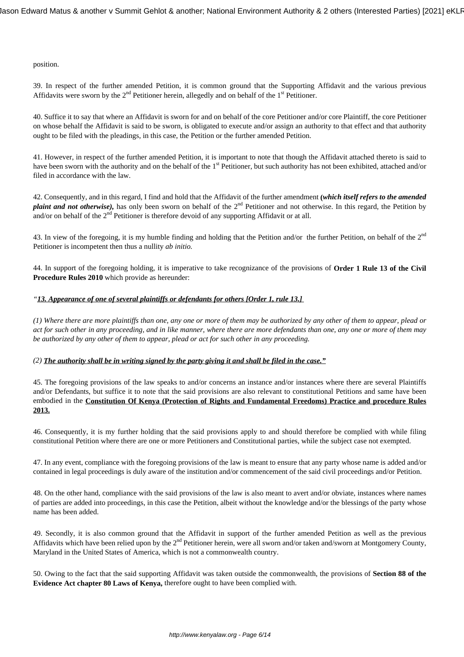position.

39. In respect of the further amended Petition, it is common ground that the Supporting Affidavit and the various previous Affidavits were sworn by the  $2<sup>nd</sup>$  Petitioner herein, allegedly and on behalf of the  $1<sup>st</sup>$  Petitioner.

40. Suffice it to say that where an Affidavit is sworn for and on behalf of the core Petitioner and/or core Plaintiff, the core Petitioner on whose behalf the Affidavit is said to be sworn, is obligated to execute and/or assign an authority to that effect and that authority ought to be filed with the pleadings, in this case, the Petition or the further amended Petition.

41. However, in respect of the further amended Petition, it is important to note that though the Affidavit attached thereto is said to have been sworn with the authority and on the behalf of the 1<sup>st</sup> Petitioner, but such authority has not been exhibited, attached and/or filed in accordance with the law.

42. Consequently, and in this regard, I find and hold that the Affidavit of the further amendment **(***which itself refers to the amended plaint and not otherwise*), has only been sworn on behalf of the 2<sup>nd</sup> Petitioner and not otherwise. In this regard, the Petition by and/or on behalf of the  $2<sup>nd</sup>$  Petitioner is therefore devoid of any supporting Affidavit or at all.

43. In view of the foregoing, it is my humble finding and holding that the Petition and/or the further Petition, on behalf of the  $2<sup>nd</sup>$ Petitioner is incompetent then thus a nullity *ab initio.*

44. In support of the foregoing holding, it is imperative to take recognizance of the provisions of **Order 1 Rule 13 of the Civil Procedure Rules 2010** which provide as hereunder:

# *"13. Appearance of one of several plaintiffs or defendants for others [Order 1, rule 13.]*

*(1) Where there are more plaintiffs than one, any one or more of them may be authorized by any other of them to appear, plead or act for such other in any proceeding, and in like manner, where there are more defendants than one, any one or more of them may be authorized by any other of them to appear, plead or act for such other in any proceeding.* 

### *(2) The authority shall be in writing signed by the party giving it and shall be filed in the case."*

45. The foregoing provisions of the law speaks to and/or concerns an instance and/or instances where there are several Plaintiffs and/or Defendants, but suffice it to note that the said provisions are also relevant to constitutional Petitions and same have been embodied in the **Constitution Of Kenya (Protection of Rights and Fundamental Freedoms) Practice and procedure Rules 2013.**

46. Consequently, it is my further holding that the said provisions apply to and should therefore be complied with while filing constitutional Petition where there are one or more Petitioners and Constitutional parties, while the subject case not exempted.

47. In any event, compliance with the foregoing provisions of the law is meant to ensure that any party whose name is added and/or contained in legal proceedings is duly aware of the institution and/or commencement of the said civil proceedings and/or Petition.

48. On the other hand, compliance with the said provisions of the law is also meant to avert and/or obviate, instances where names of parties are added into proceedings, in this case the Petition, albeit without the knowledge and/or the blessings of the party whose name has been added.

49. Secondly, it is also common ground that the Affidavit in support of the further amended Petition as well as the previous Affidavits which have been relied upon by the 2<sup>nd</sup> Petitioner herein, were all sworn and/or taken and/sworn at Montgomery County, Maryland in the United States of America, which is not a commonwealth country.

50. Owing to the fact that the said supporting Affidavit was taken outside the commonwealth, the provisions of **Section 88 of the Evidence Act chapter 80 Laws of Kenya,** therefore ought to have been complied with.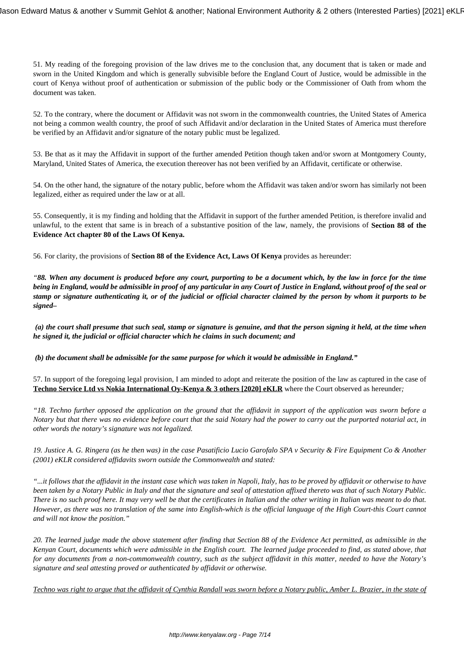51. My reading of the foregoing provision of the law drives me to the conclusion that, any document that is taken or made and sworn in the United Kingdom and which is generally subvisible before the England Court of Justice, would be admissible in the court of Kenya without proof of authentication or submission of the public body or the Commissioner of Oath from whom the document was taken.

52. To the contrary, where the document or Affidavit was not sworn in the commonwealth countries, the United States of America not being a common wealth country, the proof of such Affidavit and/or declaration in the United States of America must therefore be verified by an Affidavit and/or signature of the notary public must be legalized.

53. Be that as it may the Affidavit in support of the further amended Petition though taken and/or sworn at Montgomery County, Maryland, United States of America, the execution thereover has not been verified by an Affidavit, certificate or otherwise.

54. On the other hand, the signature of the notary public, before whom the Affidavit was taken and/or sworn has similarly not been legalized, either as required under the law or at all.

55. Consequently, it is my finding and holding that the Affidavit in support of the further amended Petition, is therefore invalid and unlawful, to the extent that same is in breach of a substantive position of the law, namely, the provisions of **Section 88 of the Evidence Act chapter 80 of the Laws Of Kenya.**

56. For clarity, the provisions of **Section 88 of the Evidence Act, Laws Of Kenya** provides as hereunder:

*"88. When any document is produced before any court, purporting to be a document which, by the law in force for the time being in England, would be admissible in proof of any particular in any Court of Justice in England, without proof of the seal or stamp or signature authenticating it, or of the judicial or official character claimed by the person by whom it purports to be signed–*

*(a) the court shall presume that such seal, stamp or signature is genuine, and that the person signing it held, at the time when he signed it, the judicial or official character which he claims in such document; and*

*(b) the document shall be admissible for the same purpose for which it would be admissible in England."*

57. In support of the foregoing legal provision, I am minded to adopt and reiterate the position of the law as captured in the case of **Techno Service Ltd vs Nokia International Oy-Kenya & 3 others [2020] eKLR** where the Court observed as hereunder*;*

*"18. Techno further opposed the application on the ground that the affidavit in support of the application was sworn before a Notary but that there was no evidence before court that the said Notary had the power to carry out the purported notarial act, in other words the notary's signature was not legalized.*

*19. Justice A. G. Ringera (as he then was) in the case Pasatificio Lucio Garofalo SPA v Security & Fire Equipment Co & Another (2001) eKLR considered affidavits sworn outside the Commonwealth and stated:*

*"...it follows that the affidavit in the instant case which was taken in Napoli, Italy, has to be proved by affidavit or otherwise to have been taken by a Notary Public in Italy and that the signature and seal of attestation affixed thereto was that of such Notary Public. There is no such proof here. It may very well be that the certificates in Italian and the other writing in Italian was meant to do that. However, as there was no translation of the same into English-which is the official language of the High Court-this Court cannot and will not know the position."*

*20. The learned judge made the above statement after finding that Section 88 of the Evidence Act permitted, as admissible in the Kenyan Court, documents which were admissible in the English court. The learned judge proceeded to find, as stated above, that for any documents from a non-commonwealth country, such as the subject affidavit in this matter, needed to have the Notary's signature and seal attesting proved or authenticated by affidavit or otherwise.*

*Techno was right to argue that the affidavit of Cynthia Randall was sworn before a Notary public, Amber L. Brazier, in the state of*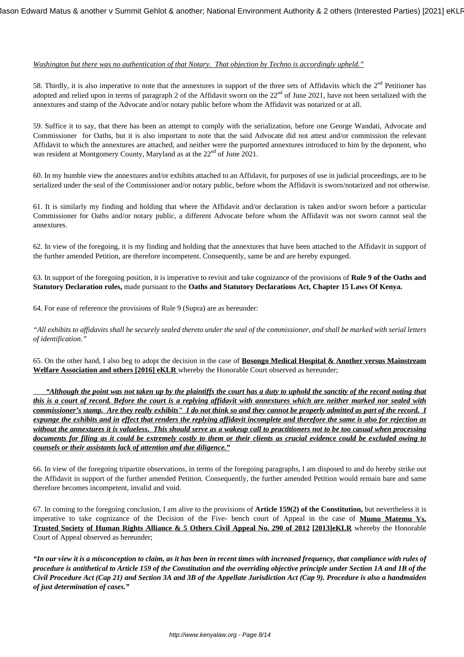# *Washington but there was no authentication of that Notary. That objection by Techno is accordingly upheld."*

58. Thirdly, it is also imperative to note that the annextures in support of the three sets of Affidavits which the  $2<sup>nd</sup>$  Petitioner has adopted and relied upon in terms of paragraph 2 of the Affidavit sworn on the  $22<sup>nd</sup>$  of June 2021, have not been serialized with the annextures and stamp of the Advocate and/or notary public before whom the Affidavit was notarized or at all.

59. Suffice it to say, that there has been an attempt to comply with the serialization, before one George Wandati, Advocate and Commissioner for Oaths, but it is also important to note that the said Advocate did not attest and/or commission the relevant Affidavit to which the annextures are attached, and neither were the purported annextures introduced to him by the deponent, who was resident at Montgomery County, Maryland as at the 22<sup>nd</sup> of June 2021.

60. In my humble view the annextures and/or exhibits attached to an Affidavit, for purposes of use in judicial proceedings, are to be serialized under the seal of the Commissioner and/or notary public, before whom the Affidavit is sworn/notarized and not otherwise.

61. It is similarly my finding and holding that where the Affidavit and/or declaration is taken and/or sworn before a particular Commissioner for Oaths and/or notary public, a different Advocate before whom the Affidavit was not sworn cannot seal the annextures.

62. In view of the foregoing, it is my finding and holding that the annextures that have been attached to the Affidavit in support of the further amended Petition, are therefore incompetent. Consequently, same be and are hereby expunged.

63. In support of the foregoing position, it is imperative to revisit and take cognizance of the provisions of **Rule 9 of the Oaths and Statutory Declaration rules,** made pursuant to the **Oaths and Statutory Declarations Act, Chapter 15 Laws Of Kenya.**

64. For ease of reference the provisions of Rule 9 (Supra) are as hereunder:

*"All exhibits to affidavits shall be securely sealed thereto under the seal of the commissioner, and shall be marked with serial letters of identification."*

65. On the other hand, I also beg to adopt the decision in the case of **Bosongo Medical Hospital & Another versus Mainstream Welfare Association and others [2016] eKLR** whereby the Honorable Court observed as hereunder;

 *"Although the point was not taken up by the plaintiffs the court has a duty to uphold the sanctity of the record noting that this is a court of record. Before the court is a replying affidavit with annextures which are neither marked nor sealed with commissioner's stamp. Are they really exhibits" I do not think so and they cannot be properly admitted as part of the record. I expunge the exhibits and in effect that renders the replying affidavit incomplete and therefore the same is also for rejection as without the annextures it is valueless. This should serve as a wakeup call to practitioners not to be too casual when processing documents for filing as it could be extremely costly to them or their clients as crucial evidence could be excluded owing to counsels or their assistants lack of attention and due diligence."*

66. In view of the foregoing tripartite observations, in terms of the foregoing paragraphs, I am disposed to and do hereby strike out the Affidavit in support of the further amended Petition. Consequently, the further amended Petition would remain bare and same therefore becomes incompetent, invalid and void.

67. In coming to the foregoing conclusion, I am alive to the provisions of **Article 159(2) of the Constitution,** but nevertheless it is imperative to take cognizance of the Decision of the Five- bench court of Appeal in the case of **Mumo Matemu Vs. Trusted Society of Human Rights Alliance & 5 Others Civil Appeal No. 290 of 2012 [2013]eKLR** whereby the Honorable Court of Appeal observed as hereunder;

*"In our view it is a misconception to claim, as it has been in recent times with increased frequency, that compliance with rules of procedure is antithetical to Article 159 of the Constitution and the overriding objective principle under Section 1A and 1B of the Civil Procedure Act (Cap 21) and Section 3A and 3B of the Appellate Jurisdiction Act (Cap 9). Procedure is also a handmaiden of just determination of cases."*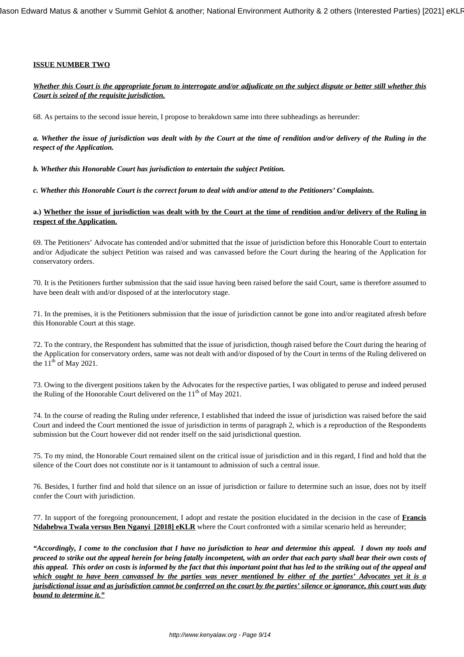# **ISSUE NUMBER TWO**

# *Whether this Court is the appropriate forum to interrogate and/or adjudicate on the subject dispute or better still whether this Court is seized of the requisite jurisdiction.*

68. As pertains to the second issue herein, I propose to breakdown same into three subheadings as hereunder:

*a. Whether the issue of jurisdiction was dealt with by the Court at the time of rendition and/or delivery of the Ruling in the respect of the Application.*

*b. Whether this Honorable Court has jurisdiction to entertain the subject Petition.*

*c. Whether this Honorable Court is the correct forum to deal with and/or attend to the Petitioners' Complaints.*

## **a.) Whether the issue of jurisdiction was dealt with by the Court at the time of rendition and/or delivery of the Ruling in respect of the Application.**

69. The Petitioners' Advocate has contended and/or submitted that the issue of jurisdiction before this Honorable Court to entertain and/or Adjudicate the subject Petition was raised and was canvassed before the Court during the hearing of the Application for conservatory orders.

70. It is the Petitioners further submission that the said issue having been raised before the said Court, same is therefore assumed to have been dealt with and/or disposed of at the interlocutory stage.

71. In the premises, it is the Petitioners submission that the issue of jurisdiction cannot be gone into and/or reagitated afresh before this Honorable Court at this stage.

72. To the contrary, the Respondent has submitted that the issue of jurisdiction, though raised before the Court during the hearing of the Application for conservatory orders, same was not dealt with and/or disposed of by the Court in terms of the Ruling delivered on the  $11<sup>th</sup>$  of May 2021.

73. Owing to the divergent positions taken by the Advocates for the respective parties, I was obligated to peruse and indeed perused the Ruling of the Honorable Court delivered on the  $11<sup>th</sup>$  of May 2021.

74. In the course of reading the Ruling under reference, I established that indeed the issue of jurisdiction was raised before the said Court and indeed the Court mentioned the issue of jurisdiction in terms of paragraph 2, which is a reproduction of the Respondents submission but the Court however did not render itself on the said jurisdictional question.

75. To my mind, the Honorable Court remained silent on the critical issue of jurisdiction and in this regard, I find and hold that the silence of the Court does not constitute nor is it tantamount to admission of such a central issue.

76. Besides, I further find and hold that silence on an issue of jurisdiction or failure to determine such an issue, does not by itself confer the Court with jurisdiction.

77. In support of the foregoing pronouncement, I adopt and restate the position elucidated in the decision in the case of **Francis Ndahebwa Twala versus Ben Nganyi [2018] eKLR** where the Court confronted with a similar scenario held as hereunder;

*"Accordingly, I come to the conclusion that I have no jurisdiction to hear and determine this appeal. I down my tools and proceed to strike out the appeal herein for being fatally incompetent, with an order that each party shall bear their own costs of this appeal. This order on costs is informed by the fact that this important point that has led to the striking out of the appeal and which ought to have been canvassed by the parties was never mentioned by either of the parties' Advocates yet it is a jurisdictional issue and as jurisdiction cannot be conferred on the court by the parties' silence or ignorance, this court was duty bound to determine it."*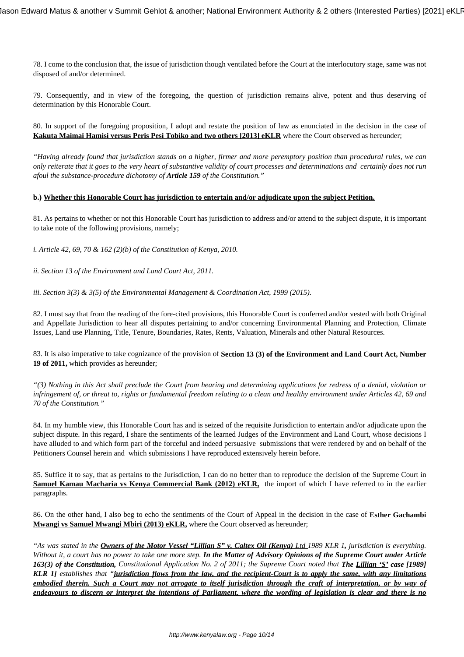78. I come to the conclusion that, the issue of jurisdiction though ventilated before the Court at the interlocutory stage, same was not disposed of and/or determined.

79. Consequently, and in view of the foregoing, the question of jurisdiction remains alive, potent and thus deserving of determination by this Honorable Court.

80. In support of the foregoing proposition, I adopt and restate the position of law as enunciated in the decision in the case of **Kakuta Maimai Hamisi versus Peris Pesi Tobiko and two others [2013] eKLR** where the Court observed as hereunder;

*"Having already found that jurisdiction stands on a higher, firmer and more peremptory position than procedural rules, we can only reiterate that it goes to the very heart of substantive validity of court processes and determinations and certainly does not run afoul the substance-procedure dichotomy of Article 159 of the Constitution."*

### **b.) Whether this Honorable Court has jurisdiction to entertain and/or adjudicate upon the subject Petition.**

81. As pertains to whether or not this Honorable Court has jurisdiction to address and/or attend to the subject dispute, it is important to take note of the following provisions, namely;

*i. Article 42, 69, 70 & 162 (2)(b) of the Constitution of Kenya, 2010.*

*ii. Section 13 of the Environment and Land Court Act, 2011.*

*iii. Section 3(3) & 3(5) of the Environmental Management & Coordination Act, 1999 (2015).*

82. I must say that from the reading of the fore-cited provisions, this Honorable Court is conferred and/or vested with both Original and Appellate Jurisdiction to hear all disputes pertaining to and/or concerning Environmental Planning and Protection, Climate Issues, Land use Planning, Title, Tenure, Boundaries, Rates, Rents, Valuation, Minerals and other Natural Resources.

83. It is also imperative to take cognizance of the provision of **Section 13 (3) of the Environment and Land Court Act, Number 19 of 2011,** which provides as hereunder;

*"(3) Nothing in this Act shall preclude the Court from hearing and determining applications for redress of a denial, violation or infringement of, or threat to, rights or fundamental freedom relating to a clean and healthy environment under Articles 42, 69 and 70 of the Constitution."*

84. In my humble view, this Honorable Court has and is seized of the requisite Jurisdiction to entertain and/or adjudicate upon the subject dispute. In this regard, I share the sentiments of the learned Judges of the Environment and Land Court, whose decisions I have alluded to and which form part of the forceful and indeed persuasive submissions that were rendered by and on behalf of the Petitioners Counsel herein and which submissions I have reproduced extensively herein before.

85. Suffice it to say, that as pertains to the Jurisdiction, I can do no better than to reproduce the decision of the Supreme Court in **Samuel Kamau Macharia vs Kenya Commercial Bank (2012) eKLR,** the import of which I have referred to in the earlier paragraphs.

86. On the other hand, I also beg to echo the sentiments of the Court of Appeal in the decision in the case of **Esther Gachambi Mwangi vs Samuel Mwangi Mbiri (2013) eKLR,** where the Court observed as hereunder;

*"As was stated in the Owners of the Motor Vessel "Lillian S" v. Caltex Oil (Kenya) Ltd 1989 KLR 1, jurisdiction is everything. Without it, a court has no power to take one more step. In the Matter of Advisory Opinions of the Supreme Court under Article 163(3) of the Constitution, Constitutional Application No. 2 of 2011; the Supreme Court noted that The Lillian 'S' case [1989] KLR 1] establishes that "jurisdiction flows from the law, and the recipient-Court is to apply the same, with any limitations embodied therein. Such a Court may not arrogate to itself jurisdiction through the craft of interpretation, or by way of endeavours to discern or interpret the intentions of Parliament, where the wording of legislation is clear and there is no*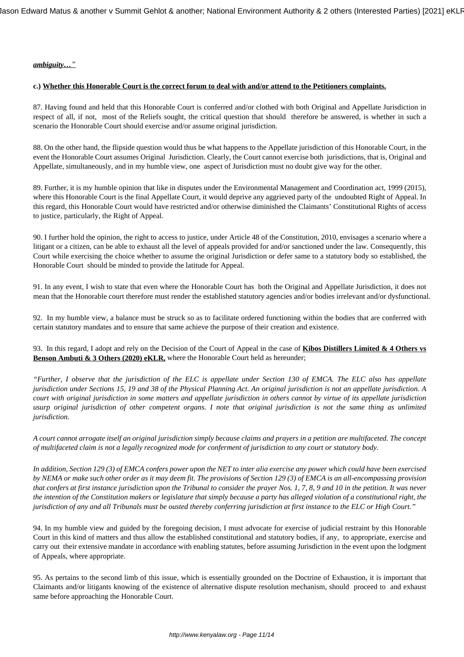# *ambiguity…"*

### **c.) Whether this Honorable Court is the correct forum to deal with and/or attend to the Petitioners complaints.**

87. Having found and held that this Honorable Court is conferred and/or clothed with both Original and Appellate Jurisdiction in respect of all, if not, most of the Reliefs sought, the critical question that should therefore be answered, is whether in such a scenario the Honorable Court should exercise and/or assume original jurisdiction.

88. On the other hand, the flipside question would thus be what happens to the Appellate jurisdiction of this Honorable Court, in the event the Honorable Court assumes Original Jurisdiction. Clearly, the Court cannot exercise both jurisdictions, that is, Original and Appellate, simultaneously, and in my humble view, one aspect of Jurisdiction must no doubt give way for the other.

89. Further, it is my humble opinion that like in disputes under the Environmental Management and Coordination act, 1999 (2015), where this Honorable Court is the final Appellate Court, it would deprive any aggrieved party of the undoubted Right of Appeal. In this regard, this Honorable Court would have restricted and/or otherwise diminished the Claimants' Constitutional Rights of access to justice, particularly, the Right of Appeal.

90. I further hold the opinion, the right to access to justice, under Article 48 of the Constitution, 2010, envisages a scenario where a litigant or a citizen, can be able to exhaust all the level of appeals provided for and/or sanctioned under the law. Consequently, this Court while exercising the choice whether to assume the original Jurisdiction or defer same to a statutory body so established, the Honorable Court should be minded to provide the latitude for Appeal.

91. In any event, I wish to state that even where the Honorable Court has both the Original and Appellate Jurisdiction, it does not mean that the Honorable court therefore must render the established statutory agencies and/or bodies irrelevant and/or dysfunctional.

92. In my humble view, a balance must be struck so as to facilitate ordered functioning within the bodies that are conferred with certain statutory mandates and to ensure that same achieve the purpose of their creation and existence.

93. In this regard, I adopt and rely on the Decision of the Court of Appeal in the case of **Kibos Distillers Limited & 4 Others vs Benson Ambuti & 3 Others (2020) eKLR,** where the Honorable Court held as hereunder;

*"Further, I observe that the jurisdiction of the ELC is appellate under Section 130 of EMCA. The ELC also has appellate jurisdiction under Sections 15, 19 and 38 of the Physical Planning Act. An original jurisdiction is not an appellate jurisdiction. A court with original jurisdiction in some matters and appellate jurisdiction in others cannot by virtue of its appellate jurisdiction usurp original jurisdiction of other competent organs. I note that original jurisdiction is not the same thing as unlimited jurisdiction.* 

*A court cannot arrogate itself an original jurisdiction simply because claims and prayers in a petition are multifaceted. The concept of multifaceted claim is not a legally recognized mode for conferment of jurisdiction to any court or statutory body.*

*In addition, Section 129 (3) of EMCA confers power upon the NET to inter alia exercise any power which could have been exercised by NEMA or make such other order as it may deem fit. The provisions of Section 129 (3) of EMCA is an all-encompassing provision that confers at first instance jurisdiction upon the Tribunal to consider the prayer Nos. 1, 7, 8, 9 and 10 in the petition. It was never the intention of the Constitution makers or legislature that simply because a party has alleged violation of a constitutional right, the jurisdiction of any and all Tribunals must be ousted thereby conferring jurisdiction at first instance to the ELC or High Court."*

94. In my humble view and guided by the foregoing decision, I must advocate for exercise of judicial restraint by this Honorable Court in this kind of matters and thus allow the established constitutional and statutory bodies, if any, to appropriate, exercise and carry out their extensive mandate in accordance with enabling statutes, before assuming Jurisdiction in the event upon the lodgment of Appeals, where appropriate.

95. As pertains to the second limb of this issue, which is essentially grounded on the Doctrine of Exhaustion, it is important that Claimants and/or litigants knowing of the existence of alternative dispute resolution mechanism, should proceed to and exhaust same before approaching the Honorable Court.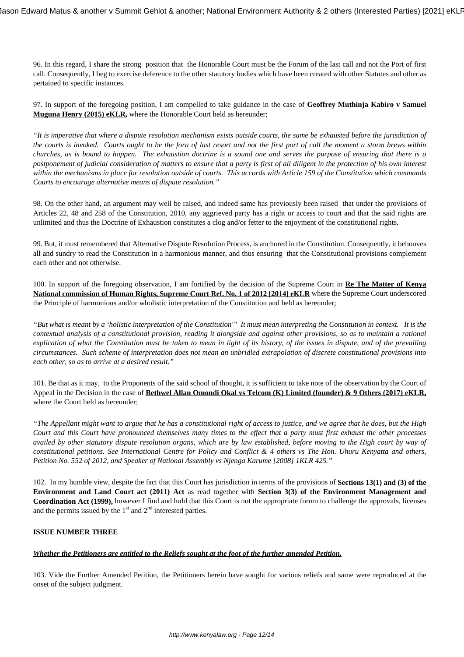96. In this regard, I share the strong position that the Honorable Court must be the Forum of the last call and not the Port of first call. Consequently, I beg to exercise deference to the other statutory bodies which have been created with other Statutes and other as pertained to specific instances.

97. In support of the foregoing position, I am compelled to take guidance in the case of **Geoffrey Muthinja Kabiro v Samuel Muguna Henry (2015) eKLR,** where the Honorable Court held as hereunder;

*"It is imperative that where a dispute resolution mechanism exists outside courts, the same be exhausted before the jurisdiction of the courts is invoked. Courts ought to be the fora of last resort and not the first port of call the moment a storm brews within churches, as is bound to happen. The exhaustion doctrine is a sound one and serves the purpose of ensuring that there is a postponement of judicial consideration of matters to ensure that a party is first of all diligent in the protection of his own interest within the mechanisms in place for resolution outside of courts. This accords with Article 159 of the Constitution which commands Courts to encourage alternative means of dispute resolution."*

98. On the other hand, an argument may well be raised, and indeed same has previously been raised that under the provisions of Articles 22, 48 and 258 of the Constitution, 2010, any aggrieved party has a right or access to court and that the said rights are unlimited and thus the Doctrine of Exhaustion constitutes a clog and/or fetter to the enjoyment of the constitutional rights.

99. But, it must remembered that Alternative Dispute Resolution Process, is anchored in the Constitution. Consequently, it behooves all and sundry to read the Constitution in a harmonious manner, and thus ensuring that the Constitutional provisions complement each other and not otherwise.

100. In support of the foregoing observation, I am fortified by the decision of the Supreme Court in **Re The Matter of Kenya National commission of Human Rights, Supreme Court Ref. No. 1 of 2012 [2014] eKLR** where the Supreme Court underscored the Principle of harmonious and/or wholistic interpretation of the Constitution and held as hereunder;

*"But what is meant by a 'holistic interpretation of the Constitution"' It must mean interpreting the Constitution in context. It is the contextual analysis of a constitutional provision, reading it alongside and against other provisions, so as to maintain a rational explication of what the Constitution must be taken to mean in light of its history, of the issues in dispute, and of the prevailing circumstances. Such scheme of interpretation does not mean an unbridled extrapolation of discrete constitutional provisions into each other, so as to arrive at a desired result."*

101. Be that as it may, to the Proponents of the said school of thought, it is sufficient to take note of the observation by the Court of Appeal in the Decision in the case of **Bethwel Allan Omondi Okal vs Telcom (K) Limited (founder) & 9 Others (2017) eKLR,** where the Court held as hereunder;

*"The Appellant might want to argue that he has a constitutional right of access to justice, and we agree that he does, but the High Court and this Court have pronounced themselves many times to the effect that a party must first exhaust the other processes availed by other statutory dispute resolution organs, which are by law established, before moving to the High court by way of constitutional petitions. See International Centre for Policy and Conflict & 4 others vs The Hon. Uhuru Kenyatta and others, Petition No. 552 of 2012, and Speaker of National Assembly vs Njenga Karume [2008] 1KLR 425."*

102. In my humble view, despite the fact that this Court has jurisdiction in terms of the provisions of **Sections 13(1) and (3) of the Environment and Land Court act (2011) Act** as read together with **Section 3(3) of the Environment Management and Coordination Act (1999),** however I find and hold that this Court is not the appropriate forum to challenge the approvals, licenses and the permits issued by the  $1<sup>st</sup>$  and  $2<sup>nd</sup>$  interested parties.

### **ISSUE NUMBER THREE**

### *Whether the Petitioners are entitled to the Reliefs sought at the foot of the further amended Petition.*

103. Vide the Further Amended Petition, the Petitioners herein have sought for various reliefs and same were reproduced at the onset of the subject judgment.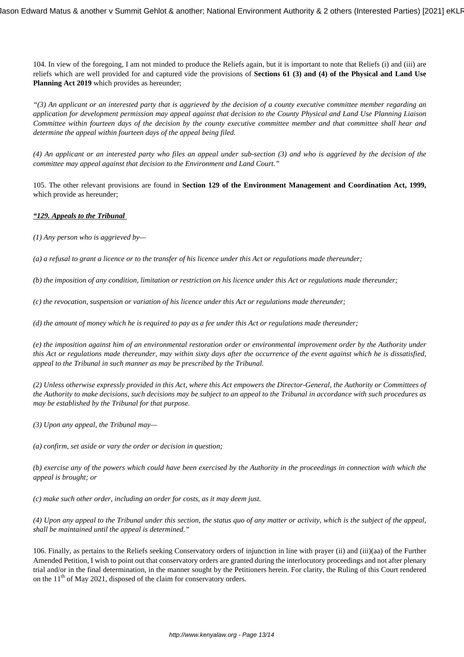104. In view of the foregoing, I am not minded to produce the Reliefs again, but it is important to note that Reliefs (i) and (iii) are reliefs which are well provided for and captured vide the provisions of **Sections 61 (3) and (4) of the Physical and Land Use** Planning Act 2019 which provides as hereunder;

*"(3) An applicant or an interested party that is aggrieved by the decision of a county executive committee member regarding an application for development permission may appeal against that decision to the County Physical and Land Use Planning Liaison Committee within fourteen days of the decision by the county executive committee member and that committee shall hear and determine the appeal within fourteen days of the appeal being filed.* 

*(4) An applicant or an interested party who files an appeal under sub-section (3) and who is aggrieved by the decision of the committee may appeal against that decision to the Environment and Land Court."*

105. The other relevant provisions are found in **Section 129 of the Environment Management and Coordination Act, 1999,** which provide as hereunder;

# *"129. Appeals to the Tribunal*

*(1) Any person who is aggrieved by—* 

*(a) a refusal to grant a licence or to the transfer of his licence under this Act or regulations made thereunder;* 

*(b) the imposition of any condition, limitation or restriction on his licence under this Act or regulations made thereunder;*

*(c) the revocation, suspension or variation of his licence under this Act or regulations made thereunder;* 

*(d) the amount of money which he is required to pay as a fee under this Act or regulations made thereunder;* 

*(e) the imposition against him of an environmental restoration order or environmental improvement order by the Authority under this Act or regulations made thereunder, may within sixty days after the occurrence of the event against which he is dissatisfied, appeal to the Tribunal in such manner as may be prescribed by the Tribunal.* 

*(2) Unless otherwise expressly provided in this Act, where this Act empowers the Director-General, the Authority or Committees of the Authority to make decisions, such decisions may be subject to an appeal to the Tribunal in accordance with such procedures as may be established by the Tribunal for that purpose.* 

*(3) Upon any appeal, the Tribunal may—* 

*(a) confirm, set aside or vary the order or decision in question;* 

*(b) exercise any of the powers which could have been exercised by the Authority in the proceedings in connection with which the appeal is brought; or* 

*(c) make such other order, including an order for costs, as it may deem just.* 

*(4) Upon any appeal to the Tribunal under this section, the status quo of any matter or activity, which is the subject of the appeal, shall be maintained until the appeal is determined."*

106. Finally, as pertains to the Reliefs seeking Conservatory orders of injunction in line with prayer (ii) and (iii)(aa) of the Further Amended Petition, I wish to point out that conservatory orders are granted during the interlocutory proceedings and not after plenary trial and/or in the final determination, in the manner sought by the Petitioners herein. For clarity, the Ruling of this Court rendered on the  $11<sup>th</sup>$  of May 2021, disposed of the claim for conservatory orders.